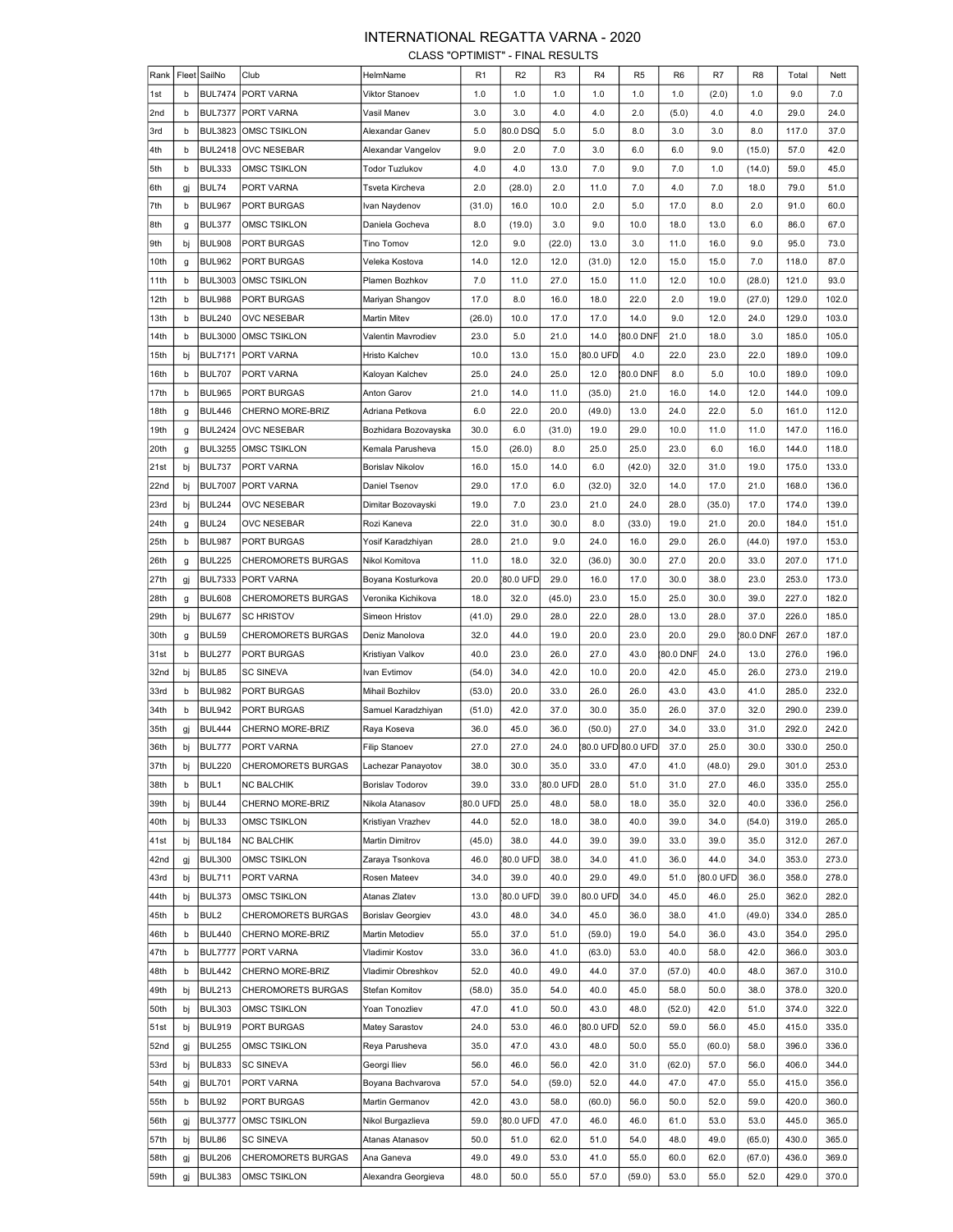## INTERNATIONAL REGATTA VARNA - 2020

CLASS "OPTIMIST" - FINAL RESULTS

| Rank |         | Fleet SailNo   | Club                      | HelmName                | R <sub>1</sub> | R <sub>2</sub> | R <sub>3</sub> | R <sub>4</sub> | R <sub>5</sub>    | R <sub>6</sub> | R7       | R <sub>8</sub> | Total | Nett  |
|------|---------|----------------|---------------------------|-------------------------|----------------|----------------|----------------|----------------|-------------------|----------------|----------|----------------|-------|-------|
| 1st  | b       | <b>BUL7474</b> | PORT VARNA                | Viktor Stanoev          | 1.0            | 1.0            | 1.0            | 1.0            | 1.0               | 1.0            | (2.0)    | 1.0            | 9.0   | 7.0   |
| 2nd  | b       | <b>BUL7377</b> | PORT VARNA                | Vasil Manev             | 3.0            | 3.0            | 4.0            | 4.0            | 2.0               | (5.0)          | 4.0      | 4.0            | 29.0  | 24.0  |
| 3rd  | b       | <b>BUL3823</b> | <b>OMSC TSIKLON</b>       | Alexandar Ganev         | 5.0            | 80.0 DSQ       | 5.0            | 5.0            | 8.0               | 3.0            | 3.0      | 8.0            | 117.0 | 37.0  |
| 4th  | b       | <b>BUL2418</b> | <b>OVC NESEBAR</b>        | Alexandar Vangelov      | 9.0            | 2.0            | 7.0            | 3.0            | 6.0               | 6.0            | 9.0      | (15.0)         | 57.0  | 42.0  |
| 5th  | b       | <b>BUL333</b>  | OMSC TSIKLON              | Todor Tuzlukov          | 4.0            | 4.0            | 13.0           | 7.0            | 9.0               | 7.0            | 1.0      | (14.0)         | 59.0  | 45.0  |
| 6th  | gj      | BUL74          | PORT VARNA                | Tsveta Kircheva         | 2.0            | (28.0)         | 2.0            | 11.0           | 7.0               | 4.0            | 7.0      | 18.0           | 79.0  | 51.0  |
| 7th  | b       | <b>BUL967</b>  | PORT BURGAS               | Ivan Naydenov           | (31.0)         | 16.0           | 10.0           | 2.0            | 5.0               | 17.0           | 8.0      | 2.0            | 91.0  | 60.0  |
| 8th  |         | <b>BUL377</b>  | OMSC TSIKLON              | Daniela Gocheva         | 8.0            | (19.0)         | 3.0            | 9.0            | 10.0              | 18.0           | 13.0     | 6.0            | 86.0  | 67.0  |
| 9th  | g<br>bj | <b>BUL908</b>  | PORT BURGAS               | <b>Tino Tomov</b>       | 12.0           | 9.0            | (22.0)         | 13.0           | 3.0               | 11.0           | 16.0     | 9.0            | 95.0  | 73.0  |
| 10th |         | <b>BUL962</b>  |                           |                         | 14.0           | 12.0           | 12.0           |                | 12.0              | 15.0           |          | 7.0            |       | 87.0  |
|      | g       | <b>BUL3003</b> | PORT BURGAS               | Veleka Kostova          |                |                |                | (31.0)         |                   |                | 15.0     |                | 118.0 |       |
| 11th | b       |                | <b>OMSC TSIKLON</b>       | Plamen Bozhkov          | 7.0            | 11.0           | 27.0           | 15.0           | 11.0              | 12.0           | 10.0     | (28.0)         | 121.0 | 93.0  |
| 12th | b       | <b>BUL988</b>  | PORT BURGAS               | Mariyan Shangov         | 17.0           | 8.0            | 16.0           | 18.0           | 22.0              | 2.0            | 19.0     | (27.0)         | 129.0 | 102.0 |
| 13th | b       | <b>BUL240</b>  | OVC NESEBAR               | Martin Mitev            | (26.0)         | 10.0           | 17.0           | 17.0           | 14.0              | 9.0            | 12.0     | 24.0           | 129.0 | 103.0 |
| 14th | b       | <b>BUL3000</b> | <b>OMSC TSIKLON</b>       | Valentin Mavrodiev      | 23.0           | 5.0            | 21.0           | 14.0           | 80.0 DNF          | 21.0           | 18.0     | 3.0            | 185.0 | 105.0 |
| 15th | bj      | <b>BUL7171</b> | PORT VARNA                | Hristo Kalchev          | 10.0           | 13.0           | 15.0           | 80.0 UFD       | 4.0               | 22.0           | 23.0     | 22.0           | 189.0 | 109.0 |
| 16th | b       | <b>BUL707</b>  | PORT VARNA                | Kaloyan Kalchev         | 25.0           | 24.0           | 25.0           | 12.0           | 80.0 DNF          | 8.0            | 5.0      | 10.0           | 189.0 | 109.0 |
| 17th | b       | <b>BUL965</b>  | PORT BURGAS               | Anton Garov             | 21.0           | 14.0           | 11.0           | (35.0)         | 21.0              | 16.0           | 14.0     | 12.0           | 144.0 | 109.0 |
| 18th | g       | <b>BUL446</b>  | CHERNO MORE-BRIZ          | Adriana Petkova         | 6.0            | 22.0           | 20.0           | (49.0)         | 13.0              | 24.0           | 22.0     | 5.0            | 161.0 | 112.0 |
| 19th | g       | <b>BUL2424</b> | <b>OVC NESEBAR</b>        | Bozhidara Bozovayska    | 30.0           | 6.0            | (31.0)         | 19.0           | 29.0              | 10.0           | 11.0     | 11.0           | 147.0 | 116.0 |
| 20th | g       | <b>BUL3255</b> | OMSC TSIKLON              | Kemala Parusheva        | 15.0           | (26.0)         | 8.0            | 25.0           | 25.0              | 23.0           | 6.0      | 16.0           | 144.0 | 118.0 |
| 21st | bj      | <b>BUL737</b>  | PORT VARNA                | Borislav Nikolov        | 16.0           | 15.0           | 14.0           | 6.0            | (42.0)            | 32.0           | 31.0     | 19.0           | 175.0 | 133.0 |
| 22nd | bj      | <b>BUL7007</b> | PORT VARNA                | Daniel Tsenov           | 29.0           | 17.0           | 6.0            | (32.0)         | 32.0              | 14.0           | 17.0     | 21.0           | 168.0 | 136.0 |
| 23rd | bj      | <b>BUL244</b>  | OVC NESEBAR               | Dimitar Bozovayski      | 19.0           | 7.0            | 23.0           | 21.0           | 24.0              | 28.0           | (35.0)   | 17.0           | 174.0 | 139.0 |
| 24th | g       | BUL24          | OVC NESEBAR               | Rozi Kaneva             | 22.0           | 31.0           | 30.0           | 8.0            | (33.0)            | 19.0           | 21.0     | 20.0           | 184.0 | 151.0 |
| 25th | b       | <b>BUL987</b>  | PORT BURGAS               | Yosif Karadzhiyan       | 28.0           | 21.0           | 9.0            | 24.0           | 16.0              | 29.0           | 26.0     | (44.0)         | 197.0 | 153.0 |
| 26th | g       | <b>BUL225</b>  | <b>CHEROMORETS BURGAS</b> | Nikol Komitova          | 11.0           | 18.0           | 32.0           | (36.0)         | 30.0              | 27.0           | 20.0     | 33.0           | 207.0 | 171.0 |
| 27th | gj      | <b>BUL7333</b> | PORT VARNA                | Boyana Kosturkova       | 20.0           | 80.0 UFD       | 29.0           | 16.0           | 17.0              | 30.0           | 38.0     | 23.0           | 253.0 | 173.0 |
| 28th | g       | <b>BUL608</b>  | <b>CHEROMORETS BURGAS</b> | Veronika Kichikova      | 18.0           | 32.0           | (45.0)         | 23.0           | 15.0              | 25.0           | 30.0     | 39.0           | 227.0 | 182.0 |
| 29th | bj      | <b>BUL677</b>  | <b>SC HRISTOV</b>         | Simeon Hristov          | (41.0)         | 29.0           | 28.0           | 22.0           | 28.0              | 13.0           | 28.0     | 37.0           | 226.0 | 185.0 |
| 30th | g       | BUL59          | <b>CHEROMORETS BURGAS</b> | Deniz Manolova          | 32.0           | 44.0           | 19.0           | 20.0           | 23.0              | 20.0           | 29.0     | 80.0 DNF       | 267.0 | 187.0 |
| 31st | b       | <b>BUL277</b>  | PORT BURGAS               | Kristiyan Valkov        | 40.0           | 23.0           | 26.0           | 27.0           | 43.0              | 80.0 DNF       | 24.0     | 13.0           | 276.0 | 196.0 |
| 32nd | bj      | BUL85          | <b>SC SINEVA</b>          | Ivan Evtimov            | (54.0)         | 34.0           | 42.0           | 10.0           | 20.0              | 42.0           | 45.0     | 26.0           | 273.0 | 219.0 |
| 33rd | b       | <b>BUL982</b>  | PORT BURGAS               | Mihail Bozhilov         | (53.0)         | 20.0           | 33.0           | 26.0           | 26.0              | 43.0           | 43.0     | 41.0           | 285.0 | 232.0 |
| 34th | b       | <b>BUL942</b>  | PORT BURGAS               | Samuel Karadzhiyan      | (51.0)         | 42.0           | 37.0           | 30.0           | 35.0              | 26.0           | 37.0     | 32.0           | 290.0 | 239.0 |
| 35th | gj      | <b>BUL444</b>  | CHERNO MORE-BRIZ          | Raya Koseva             | 36.0           | 45.0           | 36.0           | (50.0)         | 27.0              | 34.0           | 33.0     | 31.0           | 292.0 | 242.0 |
| 36th | bj      | <b>BUL777</b>  | PORT VARNA                | <b>Filip Stanoev</b>    | 27.0           | 27.0           | 24.0           |                | 80.0 UFD 80.0 UFD | 37.0           | 25.0     | 30.0           | 330.0 | 250.0 |
| 37th | bj      | <b>BUL220</b>  | CHEROMORETS BURGAS        | Lachezar Panayotov      | 38.0           | 30.0           | 35.0           | 33.0           | 47.0              | 41.0           | (48.0)   | 29.0           | 301.0 | 253.0 |
| 38th | b       | BUL1           | <b>NC BALCHIK</b>         | <b>Borislav Todorov</b> | 39.0           | 33.0           | 80.0 UFD       | 28.0           | 51.0              | 31.0           | 27.0     | 46.0           | 335.0 | 255.0 |
| 39th | bj      | BUL44          | CHERNO MORE-BRIZ          | Nikola Atanasov         | 80.0 UFD       | 25.0           | 48.0           | 58.0           | 18.0              | 35.0           | 32.0     | 40.0           | 336.0 | 256.0 |
| 40th |         | BUL33          | OMSC TSIKLON              |                         | 44.0           | 52.0           | 18.0           | 38.0           | 40.0              | 39.0           | 34.0     |                | 319.0 | 265.0 |
|      | bj      | <b>BUL184</b>  | <b>NC BALCHIK</b>         | Kristiyan Vrazhev       |                |                | 44.0           | 39.0           |                   |                |          | (54.0)         |       | 267.0 |
| 41st | bj      |                |                           | Martin Dimitrov         | (45.0)         | 38.0           |                |                | 39.0              | 33.0           | 39.0     | 35.0           | 312.0 |       |
| 42nd | gj      | <b>BUL300</b>  | <b>OMSC TSIKLON</b>       | Zaraya Tsonkova         | 46.0           | 80.0 UFD       | 38.0           | 34.0           | 41.0              | 36.0           | 44.0     | 34.0           | 353.0 | 273.0 |
| 43rd | bj      | <b>BUL711</b>  | PORT VARNA                | Rosen Mateev            | 34.0           | 39.0           | 40.0           | 29.0           | 49.0              | 51.0           | 80.0 UFD | 36.0           | 358.0 | 278.0 |
| 44th | bj      | <b>BUL373</b>  | <b>OMSC TSIKLON</b>       | Atanas Zlatev           | 13.0           | 80.0 UFD       | 39.0           | 80.0 UFD       | 34.0              | 45.0           | 46.0     | 25.0           | 362.0 | 282.0 |
| 45th | b       | BUL2           | CHEROMORETS BURGAS        | Borislav Georgiev       | 43.0           | 48.0           | 34.0           | 45.0           | 36.0              | 38.0           | 41.0     | (49.0)         | 334.0 | 285.0 |
| 46th | b       | <b>BUL440</b>  | CHERNO MORE-BRIZ          | Martin Metodiev         | 55.0           | 37.0           | 51.0           | (59.0)         | 19.0              | 54.0           | 36.0     | 43.0           | 354.0 | 295.0 |
| 47th | b       | <b>BUL7777</b> | PORT VARNA                | Vladimir Kostov         | 33.0           | 36.0           | 41.0           | (63.0)         | 53.0              | 40.0           | 58.0     | 42.0           | 366.0 | 303.0 |
| 48th | b       | <b>BUL442</b>  | CHERNO MORE-BRIZ          | Vladimir Obreshkov      | 52.0           | 40.0           | 49.0           | 44.0           | 37.0              | (57.0)         | 40.0     | 48.0           | 367.0 | 310.0 |
| 49th | bj      | <b>BUL213</b>  | <b>CHEROMORETS BURGAS</b> | Stefan Komitov          | (58.0)         | 35.0           | 54.0           | 40.0           | 45.0              | 58.0           | 50.0     | 38.0           | 378.0 | 320.0 |
| 50th | bj      | <b>BUL303</b>  | OMSC TSIKLON              | Yoan Tonozliev          | 47.0           | 41.0           | 50.0           | 43.0           | 48.0              | (52.0)         | 42.0     | 51.0           | 374.0 | 322.0 |
| 51st | bj      | <b>BUL919</b>  | PORT BURGAS               | Matey Sarastov          | 24.0           | 53.0           | 46.0           | 80.0 UFD       | 52.0              | 59.0           | 56.0     | 45.0           | 415.0 | 335.0 |
| 52nd | gj      | <b>BUL255</b>  | <b>OMSC TSIKLON</b>       | Reya Parusheva          | 35.0           | 47.0           | 43.0           | 48.0           | 50.0              | 55.0           | (60.0)   | 58.0           | 396.0 | 336.0 |
| 53rd | bj      | <b>BUL833</b>  | <b>SC SINEVA</b>          | Georgi Iliev            | 56.0           | 46.0           | 56.0           | 42.0           | 31.0              | (62.0)         | 57.0     | 56.0           | 406.0 | 344.0 |
| 54th | gj      | <b>BUL701</b>  | PORT VARNA                | Boyana Bachvarova       | 57.0           | 54.0           | (59.0)         | 52.0           | 44.0              | 47.0           | 47.0     | 55.0           | 415.0 | 356.0 |
| 55th | b       | BUL92          | PORT BURGAS               | Martin Germanov         | 42.0           | 43.0           | 58.0           | (60.0)         | 56.0              | 50.0           | 52.0     | 59.0           | 420.0 | 360.0 |
| 56th | gj      | <b>BUL3777</b> | OMSC TSIKLON              | Nikol Burgazlieva       | 59.0           | 80.0 UFD       | 47.0           | 46.0           | 46.0              | 61.0           | 53.0     | 53.0           | 445.0 | 365.0 |
| 57th |         | BUL86          | <b>SC SINEVA</b>          | Atanas Atanasov         | 50.0           | 51.0           | 62.0           | 51.0           | 54.0              | 48.0           | 49.0     | (65.0)         | 430.0 | 365.0 |
|      | bj      |                |                           |                         |                |                |                |                |                   |                |          |                |       |       |
| 58th | gj      | <b>BUL206</b>  | CHEROMORETS BURGAS        | Ana Ganeva              | 49.0           | 49.0           | 53.0           | 41.0           | 55.0              | 60.0           | 62.0     | (67.0)         | 436.0 | 369.0 |